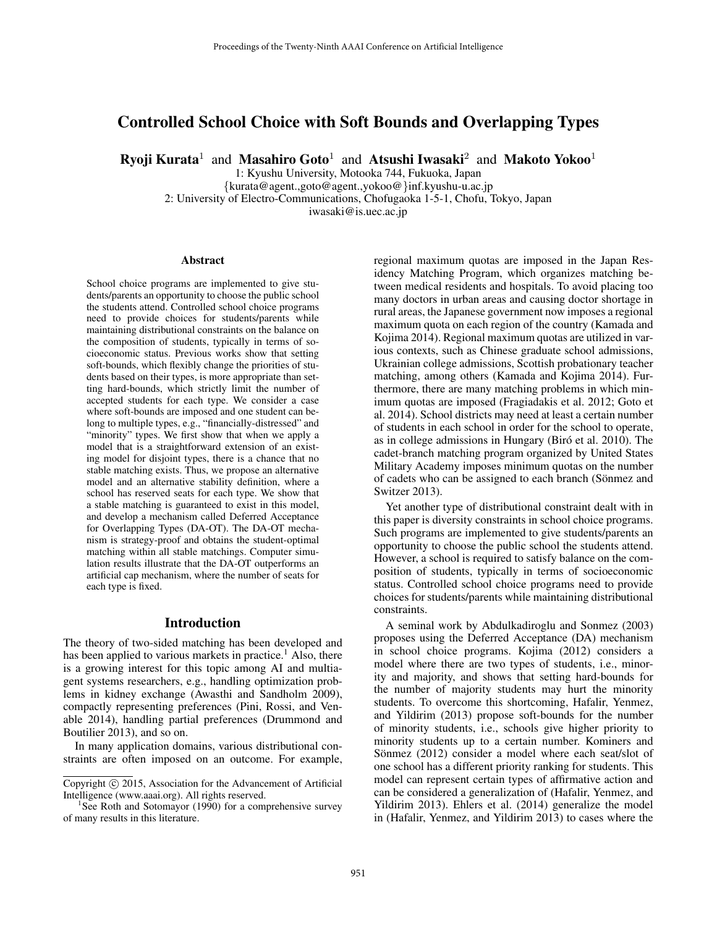# Controlled School Choice with Soft Bounds and Overlapping Types

Ryoji Kurata $^1$  and Masahiro Goto $^1$  and Atsushi Iwasaki $^2$  and Makoto Yokoo $^1$ 

1: Kyushu University, Motooka 744, Fukuoka, Japan

{kurata@agent.,goto@agent.,yokoo@}inf.kyushu-u.ac.jp 2: University of Electro-Communications, Chofugaoka 1-5-1, Chofu, Tokyo, Japan iwasaki@is.uec.ac.jp

#### Abstract

School choice programs are implemented to give students/parents an opportunity to choose the public school the students attend. Controlled school choice programs need to provide choices for students/parents while maintaining distributional constraints on the balance on the composition of students, typically in terms of socioeconomic status. Previous works show that setting soft-bounds, which flexibly change the priorities of students based on their types, is more appropriate than setting hard-bounds, which strictly limit the number of accepted students for each type. We consider a case where soft-bounds are imposed and one student can belong to multiple types, e.g., "financially-distressed" and "minority" types. We first show that when we apply a model that is a straightforward extension of an existing model for disjoint types, there is a chance that no stable matching exists. Thus, we propose an alternative model and an alternative stability definition, where a school has reserved seats for each type. We show that a stable matching is guaranteed to exist in this model, and develop a mechanism called Deferred Acceptance for Overlapping Types (DA-OT). The DA-OT mechanism is strategy-proof and obtains the student-optimal matching within all stable matchings. Computer simulation results illustrate that the DA-OT outperforms an artificial cap mechanism, where the number of seats for each type is fixed.

#### Introduction

The theory of two-sided matching has been developed and has been applied to various markets in practice.<sup>1</sup> Also, there is a growing interest for this topic among AI and multiagent systems researchers, e.g., handling optimization problems in kidney exchange (Awasthi and Sandholm 2009), compactly representing preferences (Pini, Rossi, and Venable 2014), handling partial preferences (Drummond and Boutilier 2013), and so on.

In many application domains, various distributional constraints are often imposed on an outcome. For example, regional maximum quotas are imposed in the Japan Residency Matching Program, which organizes matching between medical residents and hospitals. To avoid placing too many doctors in urban areas and causing doctor shortage in rural areas, the Japanese government now imposes a regional maximum quota on each region of the country (Kamada and Kojima 2014). Regional maximum quotas are utilized in various contexts, such as Chinese graduate school admissions, Ukrainian college admissions, Scottish probationary teacher matching, among others (Kamada and Kojima 2014). Furthermore, there are many matching problems in which minimum quotas are imposed (Fragiadakis et al. 2012; Goto et al. 2014). School districts may need at least a certain number of students in each school in order for the school to operate, as in college admissions in Hungary (Biró et al. 2010). The cadet-branch matching program organized by United States Military Academy imposes minimum quotas on the number of cadets who can be assigned to each branch (Sönmez and Switzer 2013).

Yet another type of distributional constraint dealt with in this paper is diversity constraints in school choice programs. Such programs are implemented to give students/parents an opportunity to choose the public school the students attend. However, a school is required to satisfy balance on the composition of students, typically in terms of socioeconomic status. Controlled school choice programs need to provide choices for students/parents while maintaining distributional constraints.

A seminal work by Abdulkadiroglu and Sonmez (2003) proposes using the Deferred Acceptance (DA) mechanism in school choice programs. Kojima (2012) considers a model where there are two types of students, i.e., minority and majority, and shows that setting hard-bounds for the number of majority students may hurt the minority students. To overcome this shortcoming, Hafalir, Yenmez, and Yildirim (2013) propose soft-bounds for the number of minority students, i.e., schools give higher priority to minority students up to a certain number. Kominers and Sönmez (2012) consider a model where each seat/slot of one school has a different priority ranking for students. This model can represent certain types of affirmative action and can be considered a generalization of (Hafalir, Yenmez, and Yildirim 2013). Ehlers et al. (2014) generalize the model in (Hafalir, Yenmez, and Yildirim 2013) to cases where the

Copyright (c) 2015, Association for the Advancement of Artificial Intelligence (www.aaai.org). All rights reserved.

<sup>&</sup>lt;sup>1</sup>See Roth and Sotomayor (1990) for a comprehensive survey of many results in this literature.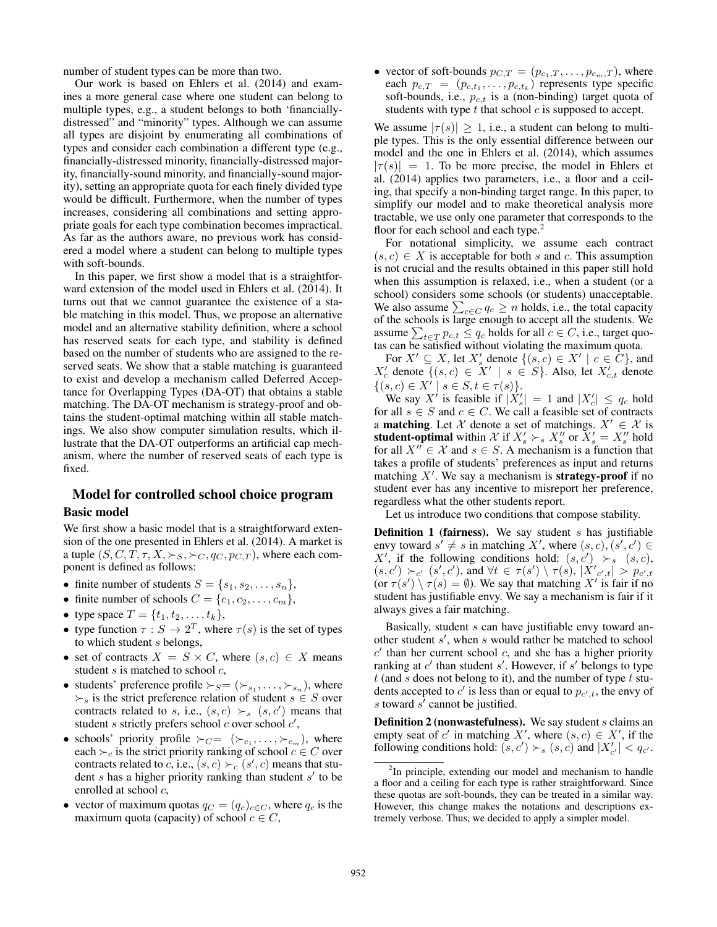number of student types can be more than two.

Our work is based on Ehlers et al. (2014) and examines a more general case where one student can belong to multiple types, e.g., a student belongs to both 'financiallydistressed" and "minority" types. Although we can assume all types are disjoint by enumerating all combinations of types and consider each combination a different type (e.g., financially-distressed minority, financially-distressed majority, financially-sound minority, and financially-sound majority), setting an appropriate quota for each finely divided type would be difficult. Furthermore, when the number of types increases, considering all combinations and setting appropriate goals for each type combination becomes impractical. As far as the authors aware, no previous work has considered a model where a student can belong to multiple types with soft-bounds.

In this paper, we first show a model that is a straightforward extension of the model used in Ehlers et al. (2014). It turns out that we cannot guarantee the existence of a stable matching in this model. Thus, we propose an alternative model and an alternative stability definition, where a school has reserved seats for each type, and stability is defined based on the number of students who are assigned to the reserved seats. We show that a stable matching is guaranteed to exist and develop a mechanism called Deferred Acceptance for Overlapping Types (DA-OT) that obtains a stable matching. The DA-OT mechanism is strategy-proof and obtains the student-optimal matching within all stable matchings. We also show computer simulation results, which illustrate that the DA-OT outperforms an artificial cap mechanism, where the number of reserved seats of each type is fixed.

# Model for controlled school choice program Basic model

We first show a basic model that is a straightforward extension of the one presented in Ehlers et al. (2014). A market is a tuple  $(S, C, T, \tau, X, \succ_S, \succ_C, q_C, p_{C,T})$ , where each component is defined as follows:

- finite number of students  $S = \{s_1, s_2, \ldots, s_n\},\$
- finite number of schools  $C = \{c_1, c_2, \ldots, c_m\},\$
- type space  $T = \{t_1, t_2, ..., t_k\},\$
- type function  $\tau : S \to 2^T$ , where  $\tau(s)$  is the set of types to which student s belongs,
- set of contracts  $X = S \times C$ , where  $(s, c) \in X$  means student  $s$  is matched to school  $c$ ,
- students' preference profile  $\succ_{S} = (\succ_{s_1}, \ldots, \succ_{s_n})$ , where  $\succ$ <sub>s</sub> is the strict preference relation of student  $s \in S$  over contracts related to s, i.e.,  $(s, c) \succ_s (s, c')$  means that student s strictly prefers school  $c$  over school  $c'$ ,
- schools' priority profile  $\succ_C = (\succ_{c_1}, \ldots, \succ_{c_m})$ , where each  $\succ_c$  is the strict priority ranking of school  $c \in C$  over contracts related to c, i.e.,  $(s, c) \succ_c (s', c)$  means that student  $s$  has a higher priority ranking than student  $s'$  to be enrolled at school  $c$ ,
- vector of maximum quotas  $q_C = (q_c)_{c \in C}$ , where  $q_c$  is the maximum quota (capacity) of school  $c \in C$ ,

• vector of soft-bounds  $p_{C,T} = (p_{c_1,T}, \ldots, p_{c_m,T})$ , where each  $p_{c,T} = (p_{c,t_1}, \ldots, p_{c,t_k})$  represents type specific soft-bounds, i.e.,  $p_{c,t}$  is a (non-binding) target quota of students with type  $t$  that school  $c$  is supposed to accept.

We assume  $|\tau(s)| \geq 1$ , i.e., a student can belong to multiple types. This is the only essential difference between our model and the one in Ehlers et al. (2014), which assumes  $|\tau(s)| = 1$ . To be more precise, the model in Ehlers et al. (2014) applies two parameters, i.e., a floor and a ceiling, that specify a non-binding target range. In this paper, to simplify our model and to make theoretical analysis more tractable, we use only one parameter that corresponds to the floor for each school and each type. $<sup>2</sup>$ </sup>

For notational simplicity, we assume each contract  $(s, c) \in X$  is acceptable for both s and c. This assumption is not crucial and the results obtained in this paper still hold when this assumption is relaxed, i.e., when a student (or a school) considers some schools (or students) unacceptable. We also assume  $\sum_{c \in C} q_c \ge n$  holds, i.e., the total capacity of the schools is large enough to accept all the students. We assume  $\sum_{t \in T} p_{c,t} \leq q_c$  holds for all  $c \in C$ , i.e., target quotas can be satisfied without violating the maximum quota.

For  $X' \subseteq X$ , let  $X'_{s}$  denote  $\{(s, c) \in X' \mid c \in C\}$ , and  $X_c'$  denote  $\{(s, c) \in X' \mid s \in S\}$ . Also, let  $X_{c,t}'$  denote  $\{(s, c) \in X' \mid s \in S, t \in \tau(s)\}.$ 

We say X' is feasible if  $|\tilde{X}_s'| = 1$  and  $|X_c'| \leq q_c$  hold for all  $s \in S$  and  $c \in C$ . We call a feasible set of contracts a **matching**. Let X denote a set of matchings.  $X' \in \mathcal{X}$  is **student-optimal** within X if  $X'_s \succ_s X''_s$  or  $X'_s = X''_s$  hold for all  $X'' \in \mathcal{X}$  and  $s \in S$ . A mechanism is a function that takes a profile of students' preferences as input and returns matching  $X'$ . We say a mechanism is strategy-proof if no student ever has any incentive to misreport her preference, regardless what the other students report.

Let us introduce two conditions that compose stability.

**Definition 1 (fairness).** We say student  $s$  has justifiable envy toward  $s' \neq s$  in matching X', where  $(s, c), (s', c') \in$ X', if the following conditions hold:  $(s, c') \rightarrow_s (s, c)$ ,  $(s, c') \succ_{c'} (s', c'),$  and  $\forall t \in \tau(s') \setminus \tau(s), |\dot{X'}_{c', t}| > p_{c', t}$ (or  $\tau(s') \setminus \tau(s) = \emptyset$ ). We say that matching X' is fair if no student has justifiable envy. We say a mechanism is fair if it always gives a fair matching.

Basically, student s can have justifiable envy toward another student  $s'$ , when  $s$  would rather be matched to school  $c'$  than her current school  $c$ , and she has a higher priority ranking at  $c'$  than student  $s'$ . However, if  $s'$  belongs to type  $t$  (and  $s$  does not belong to it), and the number of type  $t$  students accepted to c' is less than or equal to  $p_{c',t}$ , the envy of s toward  $s^{\prime}$  cannot be justified.

**Definition 2 (nonwastefulness).** We say student  $s$  claims an empty seat of c' in matching X', where  $(s, c) \in X'$ , if the following conditions hold:  $(s, c') \succ_s (s, c)$  and  $|X'_{c'}| < q_{c'}$ .

<sup>&</sup>lt;sup>2</sup>In principle, extending our model and mechanism to handle a floor and a ceiling for each type is rather straightforward. Since these quotas are soft-bounds, they can be treated in a similar way. However, this change makes the notations and descriptions extremely verbose. Thus, we decided to apply a simpler model.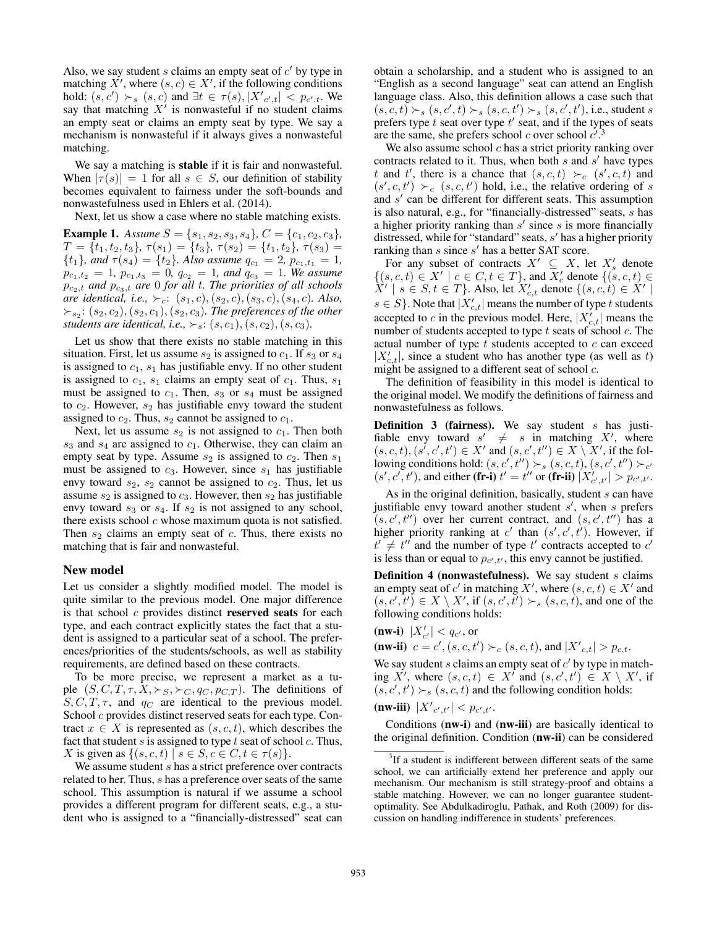Also, we say student  $s$  claims an empty seat of  $c'$  by type in matching  $X'$ , where  $(s, c) \in X'$ , if the following conditions hold:  $(s, c') \succ_s (s, c)$  and  $\exists t \in \tau(s), |X'_{c', t}| < p_{c', t}$ . We say that matching  $X'$  is nonwasteful if no student claims an empty seat or claims an empty seat by type. We say a mechanism is nonwasteful if it always gives a nonwasteful matching.

We say a matching is stable if it is fair and nonwasteful. When  $|\tau(s)| = 1$  for all  $s \in S$ , our definition of stability becomes equivalent to fairness under the soft-bounds and nonwastefulness used in Ehlers et al. (2014).

Next, let us show a case where no stable matching exists.

**Example 1.** Assume  $S = \{s_1, s_2, s_3, s_4\}$ ,  $C = \{c_1, c_2, c_3\}$ ,  $T = \{t_1, t_2, t_3\}, \tau(s_1) = \{t_3\}, \tau(s_2) = \{t_1, t_2\}, \tau(s_3) =$  ${t_1}$ *, and*  $\tau(s_4) = {t_2}$ *. Also assume*  $q_{c_1} = 2$ *,*  $p_{c_1,t_1} = 1$ *,*  $p_{c_1,t_2} = 1$ ,  $p_{c_1,t_3} = 0$ ,  $q_{c_2} = 1$ , and  $q_{c_3} = 1$ . We assume  $p_{c_2,t}$  *and*  $p_{c_3,t}$  *are* 0 *for all t. The priorities of all schools are identical, i.e.,*  $\succ_c$ :  $(s_1, c)$ ,  $(s_2, c)$ ,  $(s_3, c)$ ,  $(s_4, c)$ *. Also,*  $\succ_{s_2}: (s_2, c_2), (s_2, c_1), (s_2, c_3)$ *. The preferences of the other students are identical, i.e.,*  $\succ$ <sub>*s*</sub>:  $(s, c_1)$ ,  $(s, c_2)$ ,  $(s, c_3)$ *.* 

Let us show that there exists no stable matching in this situation. First, let us assume  $s_2$  is assigned to  $c_1$ . If  $s_3$  or  $s_4$ is assigned to  $c_1$ ,  $s_1$  has justifiable envy. If no other student is assigned to  $c_1$ ,  $s_1$  claims an empty seat of  $c_1$ . Thus,  $s_1$ must be assigned to  $c_1$ . Then,  $s_3$  or  $s_4$  must be assigned to  $c_2$ . However,  $s_2$  has justifiable envy toward the student assigned to  $c_2$ . Thus,  $s_2$  cannot be assigned to  $c_1$ .

Next, let us assume  $s_2$  is not assigned to  $c_1$ . Then both  $s_3$  and  $s_4$  are assigned to  $c_1$ . Otherwise, they can claim an empty seat by type. Assume  $s_2$  is assigned to  $c_2$ . Then  $s_1$ must be assigned to  $c_3$ . However, since  $s_1$  has justifiable envy toward  $s_2$ ,  $s_2$  cannot be assigned to  $c_2$ . Thus, let us assume  $s_2$  is assigned to  $c_3$ . However, then  $s_2$  has justifiable envy toward  $s_3$  or  $s_4$ . If  $s_2$  is not assigned to any school, there exists school  $c$  whose maximum quota is not satisfied. Then  $s_2$  claims an empty seat of c. Thus, there exists no matching that is fair and nonwasteful.

#### New model

Let us consider a slightly modified model. The model is quite similar to the previous model. One major difference is that school  $c$  provides distinct **reserved seats** for each type, and each contract explicitly states the fact that a student is assigned to a particular seat of a school. The preferences/priorities of the students/schools, as well as stability requirements, are defined based on these contracts.

To be more precise, we represent a market as a tuple  $(S, C, T, \tau, X, \succ_S, \succ_C, q_C, p_{C,T})$ . The definitions of  $S, C, T, \tau$ , and  $q_C$  are identical to the previous model. School c provides distinct reserved seats for each type. Contract  $x \in X$  is represented as  $(s, c, t)$ , which describes the fact that student  $s$  is assigned to type  $t$  seat of school  $c$ . Thus, X is given as  $\{(s, c, t) \mid s \in S, c \in C, t \in \tau(s)\}.$ 

We assume student  $s$  has a strict preference over contracts related to her. Thus, s has a preference over seats of the same school. This assumption is natural if we assume a school provides a different program for different seats, e.g., a student who is assigned to a "financially-distressed" seat can

obtain a scholarship, and a student who is assigned to an "English as a second language" seat can attend an English language class. Also, this definition allows a case such that  $(s, c, t) \succ_s (s, c', t) \succ_s (s, c, t') \succ_s (s, c', t')$ , i.e., student s prefers type  $t$  seat over type  $t'$  seat, and if the types of seats are the same, she prefers school  $c$  over school  $c'$ . 3

We also assume school  $c$  has a strict priority ranking over contracts related to it. Thus, when both  $s$  and  $s'$  have types t and t', there is a chance that  $(s, c, t) \succ_c (s', c, t)$  and  $(s', c, t') \succ_c (s, c, t')$  hold, i.e., the relative ordering of s and s' can be different for different seats. This assumption is also natural, e.g., for "financially-distressed" seats, s has a higher priority ranking than  $s'$  since  $s$  is more financially distressed, while for "standard" seats, s' has a higher priority ranking than  $s$  since  $s'$  has a better SAT score.

For any subset of contracts  $X' \subseteq X$ , let  $X'_s$  denote  $\{(s, c, t) \in X' \mid c \in C, t \in T\}$ , and  $X_c'$  denote  $\{(s, c, t) \in$  $\hat{X}'$  |  $s \in S, t \in T$ }. Also, let  $X'_{c,t}$  denote  $\{(s, c, t) \in X'$  |  $s \in S$ . Note that  $|X'_{c,t}|$  means the number of type t students accepted to c in the previous model. Here,  $|X'_{c,t}|$  means the number of students accepted to type  $t$  seats of school  $c$ . The actual number of type  $t$  students accepted to  $c$  can exceed  $|X'_{c,t}|$ , since a student who has another type (as well as t) might be assigned to a different seat of school  $c$ .

The definition of feasibility in this model is identical to the original model. We modify the definitions of fairness and nonwastefulness as follows.

**Definition 3 (fairness).** We say student  $s$  has justifiable envy toward  $s' \neq s$  in matching X', where  $(s, c, t), (s', c', t') \in X'$  and  $(s, c', t'') \in X \setminus X'$ , if the following conditions hold:  $(s, c', t'') \succ_s (s, c, t), (s, c', t'') \succ_{c'}$  $(s', c', t')$ , and either (fr-i)  $t' = t''$  or (fr-ii)  $|X'_{c', t'}| > p_{c', t'}$ .

As in the original definition, basically, student  $s$  can have justifiable envy toward another student  $s'$ , when  $s$  prefers  $(s, c', t'')$  over her current contract, and  $(s, c', t'')$  has a higher priority ranking at c' than  $(s', c', t')$ . However, if  $t' \neq t''$  and the number of type  $t'$  contracts accepted to  $c'$ is less than or equal to  $p_{c',t'}$ , this envy cannot be justified.

**Definition 4 (nonwastefulness).** We say student  $s$  claims an empty seat of c' in matching X', where  $(s, c, t) \in X'$  and  $(s, c', t') \in X \setminus X'$ , if  $(s, c', t') \succ_s (s, c, t)$ , and one of the following conditions holds:

(nw-i)  $|X'_{c'}| < q_{c'}$ , or (nw-ii)  $c = c', (s, c, t') \succ_c (s, c, t)$ , and  $|X'_{c,t}| > p_{c,t}$ .

We say student  $s$  claims an empty seat of  $c'$  by type in matching X', where  $(s, c, t) \in X^t$  and  $(s, c', t') \in X \setminus X'$ , if  $(s, c', t') \succ_s (s, c, t)$  and the following condition holds:

(nw-iii)  $|X'_{c',t'}| < p_{c',t'}.$ 

Conditions  $(nw-i)$  and  $(nw-iii)$  are basically identical to the original definition. Condition (nw-ii) can be considered

<sup>&</sup>lt;sup>3</sup>If a student is indifferent between different seats of the same school, we can artificially extend her preference and apply our mechanism. Our mechanism is still strategy-proof and obtains a stable matching. However, we can no longer guarantee studentoptimality. See Abdulkadiroglu, Pathak, and Roth (2009) for discussion on handling indifference in students' preferences.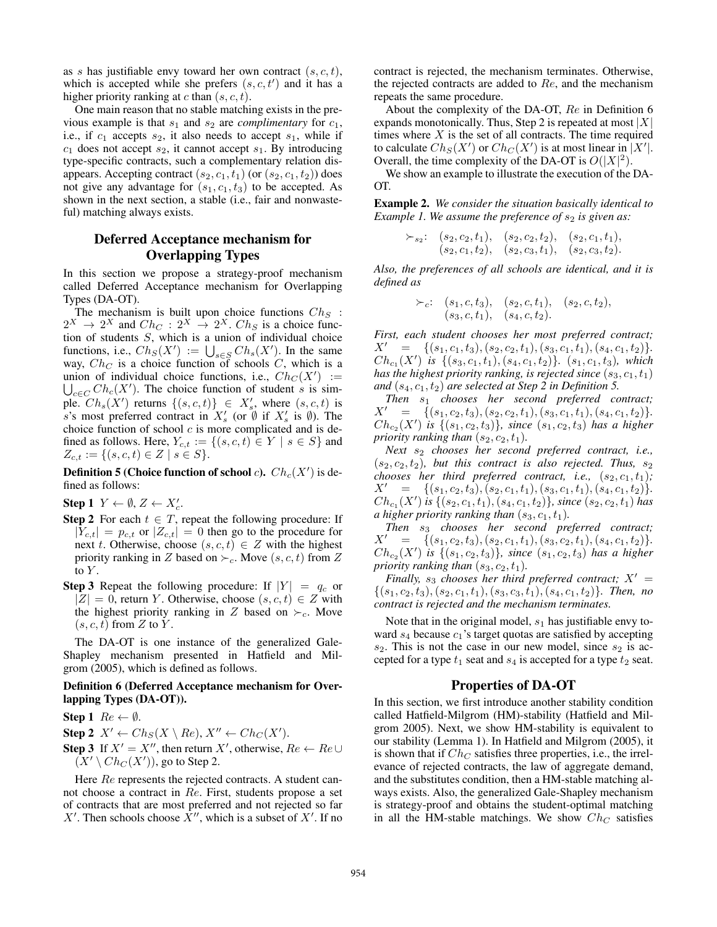as s has justifiable envy toward her own contract  $(s, c, t)$ , which is accepted while she prefers  $(s, c, t')$  and it has a higher priority ranking at c than  $(s, c, t)$ .

One main reason that no stable matching exists in the previous example is that  $s_1$  and  $s_2$  are *complimentary* for  $c_1$ , i.e., if  $c_1$  accepts  $s_2$ , it also needs to accept  $s_1$ , while if  $c_1$  does not accept  $s_2$ , it cannot accept  $s_1$ . By introducing type-specific contracts, such a complementary relation disappears. Accepting contract  $(s_2, c_1, t_1)$  (or  $(s_2, c_1, t_2)$ ) does not give any advantage for  $(s_1, c_1, t_3)$  to be accepted. As shown in the next section, a stable (i.e., fair and nonwasteful) matching always exists.

## Deferred Acceptance mechanism for Overlapping Types

In this section we propose a strategy-proof mechanism called Deferred Acceptance mechanism for Overlapping Types (DA-OT).

The mechanism is built upon choice functions  $Ch_S$ :  $2^X \rightarrow 2^X$  and  $Ch_C: 2^X \rightarrow 2^X$ .  $Ch_S$  is a choice function of students S, which is a union of individual choice functions, i.e.,  $Ch_S(X') := \bigcup_{s \in S} Ch_s(X')$ . In the same way,  $Ch_C$  is a choice function of schools C, which is a union of individual choice functions, i.e.,  $Ch_C(X') :=$  $\bigcup_{c \in C} Ch_c(X')$ . The choice function of student s is simple.  $Ch_s(X')$  returns  $\{(s, c, t)\}\in X'_s$ , where  $(s, c, t)$  is s's most preferred contract in  $X'_s$  (or  $\emptyset$  if  $X'_s$  is  $\emptyset$ ). The choice function of school  $c$  is more complicated and is defined as follows. Here,  $Y_{c,t} := \{(s, c, t) \in Y \mid s \in S\}$  and  $Z_{c,t} := \{(s, c, t) \in Z \mid s \in S\}.$ 

**Definition 5 (Choice function of school c).**  $Ch_c(X')$  is defined as follows:

Step 1  $Y \leftarrow \emptyset$ ,  $Z \leftarrow X_c'$ .

- **Step 2** For each  $t \in T$ , repeat the following procedure: If  $|Y_{c,t}| = p_{c,t}$  or  $|Z_{c,t}| = 0$  then go to the procedure for next t. Otherwise, choose  $(s, c, t) \in Z$  with the highest priority ranking in Z based on  $\succ_c$ . Move  $(s, c, t)$  from Z to  $Y$ .
- **Step 3** Repeat the following procedure: If  $|Y| = q_c$  or  $|Z| = 0$ , return Y. Otherwise, choose  $(s, c, t) \in Z$  with the highest priority ranking in Z based on  $\succ_c$ . Move  $(s, c, t)$  from Z to Y.

The DA-OT is one instance of the generalized Gale-Shapley mechanism presented in Hatfield and Milgrom (2005), which is defined as follows.

## Definition 6 (Deferred Acceptance mechanism for Overlapping Types (DA-OT)).

Step 1  $Re \leftarrow \emptyset$ .

Step 2  $X' \leftarrow Ch_S(X \setminus Re), X'' \leftarrow Ch_C(X').$ 

**Step 3** If  $X' = X''$ , then return X', otherwise,  $Re \leftarrow Re \cup$  $(X' \setminus Ch_C(X'))$ , go to Step 2.

Here  $Re$  represents the rejected contracts. A student cannot choose a contract in Re. First, students propose a set of contracts that are most preferred and not rejected so far X'. Then schools choose  $\overline{X}''$ , which is a subset of X'. If no

contract is rejected, the mechanism terminates. Otherwise, the rejected contracts are added to  $Re$ , and the mechanism repeats the same procedure.

About the complexity of the DA-OT, Re in Definition 6 expands monotonically. Thus, Step 2 is repeated at most  $|X|$ times where  $X$  is the set of all contracts. The time required to calculate  $Ch_S(X')$  or  $Ch_C(X')$  is at most linear in  $|X'|$ . Overall, the time complexity of the DA-OT is  $O(|X|^2)$ .

We show an example to illustrate the execution of the DA-OT.

Example 2. *We consider the situation basically identical to Example 1. We assume the preference of*  $s<sub>2</sub>$  *is given as:* 

> $\succ_{s_2}:$   $(s_2, c_2, t_1), (s_2, c_2, t_2), (s_2, c_1, t_1),$  $(s_2, c_1, t_2), (s_2, c_3, t_1), (s_2, c_3, t_2).$

*Also, the preferences of all schools are identical, and it is defined as*

$$
\succ_c: \quad (s_1, c, t_3), \quad (s_2, c, t_1), \quad (s_2, c, t_2), (s_3, c, t_1), \quad (s_4, c, t_2).
$$

*First, each student chooses her most preferred contract;*  $X' = \{(s_1, c_1, t_3), (s_2, c_2, t_1), (s_3, c_1, t_1), (s_4, c_1, t_2)\}.$  $Ch_{c_1}(X')$  *is*  $\{(s_3, c_1, t_1), (s_4, c_1, t_2)\}$ *.*  $(s_1, c_1, t_3)$ *, which has the highest priority ranking, is rejected since*  $(s_3, c_1, t_1)$ and  $(s_4, c_1, t_2)$  are selected at Step 2 in Definition 5.

*Then* s<sup>1</sup> *chooses her second preferred contract;*  $X' = \{(s_1, c_2, t_3), (s_2, c_2, t_1), (s_3, c_1, t_1), (s_4, c_1, t_2)\}.$  $Ch_{c_2}(X')$  *is*  $\{(s_1, c_2, t_3)\}\$ *, since*  $(s_1, c_2, t_3)$  *has a higher priority ranking than*  $(s_2, c_2, t_1)$ *.* 

*Next*  $s_2$  *chooses her second preferred contract, i.e.,*  $(s_2, c_2, t_2)$ *, but this contract is also rejected. Thus,*  $s_2$ *chooses her third preferred contract, i.e.,*  $(s_2, c_1, t_1)$ ;  $X' = \{(s_1, c_2, t_3), (s_2, c_1, t_1), (s_3, c_1, t_1), (s_4, c_1, t_2)\}.$  $Ch_{c_1}(X')$  is  $\{(s_2, c_1, t_1), (s_4, c_1, t_2)\}$ *, since*  $(s_2, c_2, t_1)$  has *a higher priority ranking than*  $(s_3, c_1, t_1)$ *.* 

*Then* s<sup>3</sup> *chooses her second preferred contract;*  $X' = \{(s_1, c_2, t_3), (s_2, c_1, t_1), (s_3, c_2, t_1), (s_4, c_1, t_2)\}.$  $Ch_{c_2}(X')$  *is*  $\{(s_1, c_2, t_3)\}\text{, since } (s_1, c_2, t_3)$  *has a higher priority ranking than*  $(s_3, c_2, t_1)$ *.* 

*Finally,*  $s_3$  *chooses her third preferred contract;*  $X' =$  $\{(s_1, c_2, t_3), (s_2, c_1, t_1), (s_3, c_3, t_1), (s_4, c_1, t_2)\}.$  Then, no *contract is rejected and the mechanism terminates.*

Note that in the original model,  $s_1$  has justifiable envy toward  $s_4$  because  $c_1$ 's target quotas are satisfied by accepting  $s_2$ . This is not the case in our new model, since  $s_2$  is accepted for a type  $t_1$  seat and  $s_4$  is accepted for a type  $t_2$  seat.

#### Properties of DA-OT

In this section, we first introduce another stability condition called Hatfield-Milgrom (HM)-stability (Hatfield and Milgrom 2005). Next, we show HM-stability is equivalent to our stability (Lemma 1). In Hatfield and Milgrom (2005), it is shown that if  $Ch_C$  satisfies three properties, i.e., the irrelevance of rejected contracts, the law of aggregate demand, and the substitutes condition, then a HM-stable matching always exists. Also, the generalized Gale-Shapley mechanism is strategy-proof and obtains the student-optimal matching in all the HM-stable matchings. We show  $Ch_C$  satisfies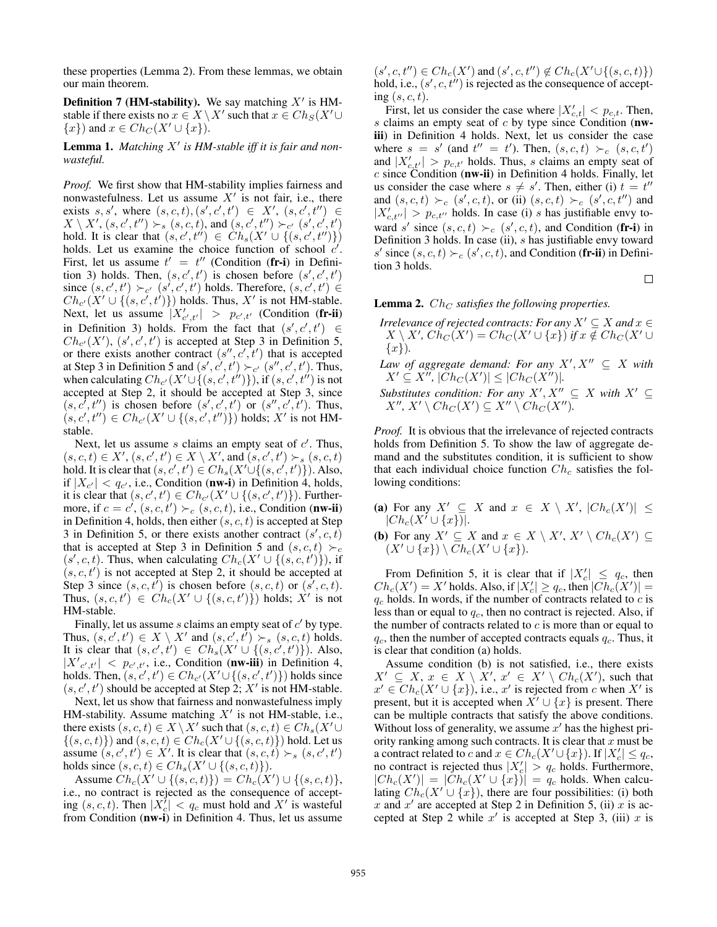these properties (Lemma 2). From these lemmas, we obtain our main theorem.

**Definition 7 (HM-stability).** We say matching  $X'$  is HMstable if there exists no  $x \in X \setminus X'$  such that  $x \in Ch_S(X' \cup$  $\{x\}$  and  $x \in Ch_C(X' \cup \{x\})$ .

Lemma 1. Matching X' is HM-stable iff it is fair and non*wasteful.*

*Proof.* We first show that HM-stability implies fairness and nonwastefulness. Let us assume  $X'$  is not fair, i.e., there exists s, s', where  $(s, c, t), (s', c', t') \in X', (s, c', t'') \in$  $X \setminus X'$ ,  $(s, c', t'') \succ_s (s, c, t)$ , and  $(s, c', t'') \succ_{c'} (s', c', t')$ hold. It is clear that  $(s, c', t'') \in Ch_s(X' \cup \{(s, c', t'')\})$ holds. Let us examine the choice function of school  $c'$ . First, let us assume  $t' = t''$  (Condition (fr-i) in Definition 3) holds. Then,  $(s, c', t')$  is chosen before  $(s', c', t')$ since  $(s, c', t') \succ_{c'} (s', c', t')$  holds. Therefore,  $(s, c', t') \in$  $Ch_{c'}(X' \cup \{(s, c', t')\})$  holds. Thus, X' is not HM-stable. Next, let us assume  $|X'_{c',t'}| > p_{c',t'}$  (Condition (fr-ii) in Definition 3) holds. From the fact that  $(s', c', t') \in$  $Ch_{c'}(X')$ ,  $(s', c', t')$  is accepted at Step 3 in Definition 5, or there exists another contract  $(s'', c', t')$  that is accepted at Step 3 in Definition 5 and  $(s', c', t') \succ_{c'} (s'', c', t')$ . Thus, when calculating  $Ch_{c'}(X'\cup\{(s,c',t'')\})$ , if  $(s,c',t'')$  is not accepted at Step 2, it should be accepted at Step 3, since  $(s, c^{\prime}, t^{\prime\prime})$  is chosen before  $(s^{\prime}, c^{\prime}, t^{\prime})$  or  $(s^{\prime\prime}, c^{\prime}, t^{\prime})$ . Thus,  $(s, c', t'') \in Ch_{c'}(X' \cup \{(s, c', t'')\})$  holds; X' is not HMstable.

Next, let us assume  $s$  claims an empty seat of  $c'$ . Thus,  $(s, c, t) \in X', (s, c', t') \in X \setminus X'$ , and  $(s, c', t') \succ_s (s, c, t)$ hold. It is clear that  $(s, c', t') \in Ch_s(X' \cup \{(s, c', t')\})$ . Also, if  $|X_{c'}| < q_{c'}$ , i.e., Condition (nw-i) in Definition 4, holds, it is clear that  $(s, c', t') \in Ch_{c'}(X' \cup \{(s, c', t')\})$ . Furthermore, if  $c = c'$ ,  $(s, c, t') \succ_c (s, c, t)$ , i.e., Condition (nw-ii) in Definition 4, holds, then either  $(s, c, t)$  is accepted at Step 3 in Definition 5, or there exists another contract  $(s', c, t)$ that is accepted at Step 3 in Definition 5 and  $(s, c, t) \succ_c$  $(s', c, t)$ . Thus, when calculating  $Ch_c(X' \cup \{(s, c, t')\})$ , if  $(s, c, t')$  is not accepted at Step 2, it should be accepted at Step 3 since  $(s, c, t^i)$  is chosen before  $(s, c, t)$  or  $(s', c, t)$ . Thus,  $(s, c, t') \in Ch_c(X' \cup \{(s, c, t')\})$  holds; X' is not HM-stable.

Finally, let us assume  $s$  claims an empty seat of  $c'$  by type. Thus,  $(s, c', t') \in X \setminus X'$  and  $(s, c', t') \succ_s (s, c, t)$  holds. It is clear that  $(s, c', t') \in Ch_s(X' \cup \{(s, c', t')\})$ . Also,  $|X'_{c',t'}| < p_{c',t'}$ , i.e., Condition (nw-iii) in Definition 4, holds. Then,  $(s, c', t') \in Ch_{c'}(X' \cup \{(s, c', t')\})$  holds since  $(s, c', t')$  should be accepted at Step 2; X' is not HM-stable.

Next, let us show that fairness and nonwastefulness imply HM-stability. Assume matching  $X'$  is not HM-stable, i.e., there exists  $(s, c, t) \in X \setminus X'$  such that  $(s, c, t) \in Ch_s(X' \cup$  $\{(s, c, t)\}\)$  and  $(s, c, t) \in Ch_c(X' \cup \{(s, c, t)\})$  hold. Let us assume  $(s, c', t') \in X'$ . It is clear that  $(s, c, t) \succ_s (s, c', t')$ holds since  $(s, c, t) \in Ch_s(X' \cup \{(s, c, t)\}).$ 

Assume  $\hat{C}h_c(X' \cup \{(s, c, t)\}) = Ch_c(X') \cup \{(s, c, t)\},$ i.e., no contract is rejected as the consequence of accepting  $(s, c, t)$ . Then  $|X_c^{\prime}| < q_c$  must hold and X' is wasteful from Condition (nw-i) in Definition 4. Thus, let us assume

 $(s', c, t'') \in Ch_c(X')$  and  $(s', c, t'') \notin Ch_c(X' \cup \{(s, c, t)\})$ hold, i.e.,  $(s', c, t'')$  is rejected as the consequence of accepting  $(s, c, t)$ .

First, let us consider the case where  $|X'_{c,t}| < p_{c,t}$ . Then, s claims an empty seat of  $c$  by type since Condition (nwiii) in Definition 4 holds. Next, let us consider the case where  $s = s'$  (and  $t'' = t'$ ). Then,  $(s, c, t) \succ_c (s, c, t')$ and  $|X'_{c,t'}| > p_{c,t'}$  holds. Thus, s claims an empty seat of  $c$  since Condition (nw-ii) in Definition 4 holds. Finally, let us consider the case where  $s \neq s'$ . Then, either (i)  $t = t''$ and  $(s, c, t) \succ_c (s', c, t)$ , or (ii)  $(s, c, t) \succ_c (s', c, t'')$  and  $|X'_{c,t''}| > p_{c,t''}$  holds. In case (i) s has justifiable envy toward s' since  $(s, c, t) \succ_c (s', c, t)$ , and Condition (fr-i) in Definition 3 holds. In case (ii), s has justifiable envy toward s' since  $(s, c, t) \succ_c (s', c, t)$ , and Condition (fr-ii) in Definition 3 holds.

 $\Box$ 

#### **Lemma 2.**  $Ch_C$  *satisfies the following properties.*

- *Irrelevance of rejected contracts: For any*  $X' \subseteq X$  *and*  $x \in Y$  $X \setminus X'$ ,  $\dot{Ch}_C(X') = Ch_C(X' \cup \{x\})$  *if*  $x \notin Ch_C(X' \cup$  $\{x\}$ ).
- Law of aggregate demand: For any  $X', X'' \subseteq X$  with  $X' \subseteq X''$ ,  $|\tilde{C}h_C(X')| \leq |Ch_C(X'')|$ .
- *Substitutes condition: For any*  $X', X'' \subseteq X$  *with*  $X' \subseteq$  $X'', X' \setminus Ch_C(X') \subseteq X'' \setminus Ch_C(X'').$

*Proof.* It is obvious that the irrelevance of rejected contracts holds from Definition 5. To show the law of aggregate demand and the substitutes condition, it is sufficient to show that each individual choice function  $Ch_c$  satisfies the following conditions:

- (a) For any  $X' \subseteq X$  and  $x \in X \setminus X'$ ,  $|Ch_c(X')| \leq$  $|Ch_c(X^i\cup\{x\})|$ .
- **(b)** For any  $X' \subseteq X$  and  $x \in X \setminus X'$ ,  $X' \setminus Ch_c(X') \subseteq$  $(X' \cup \{x\}) \setminus Ch_c(X' \cup \{x\}).$

From Definition 5, it is clear that if  $|X'_c| \leq q_c$ , then  $Ch_c(X') = X'$  holds. Also, if  $|X'_c| \ge q_c$ , then  $|Ch_c(X')| =$  $q_c$  holds. In words, if the number of contracts related to  $c$  is less than or equal to  $q_c$ , then no contract is rejected. Also, if the number of contracts related to  $c$  is more than or equal to  $q_c$ , then the number of accepted contracts equals  $q_c$ . Thus, it is clear that condition (a) holds.

Assume condition (b) is not satisfied, i.e., there exists  $X' \subseteq X$ ,  $x \in X \setminus X'$ ,  $x' \in X' \setminus Ch_c(X')$ , such that  $x' \in Ch_c(X' \cup \{x\})$ , i.e.,  $x'$  is rejected from c when  $X'$  is present, but it is accepted when  $X' \cup \{x\}$  is present. There can be multiple contracts that satisfy the above conditions. Without loss of generality, we assume  $x'$  has the highest priority ranking among such contracts. It is clear that  $x$  must be a contract related to c and  $x \in Ch_c(X' \cup \{x\})$ . If  $|X'_c| \leq q_c$ , no contract is rejected thus  $|X_c'| > q_c$  holds. Furthermore,  $|Ch_c(X')| = |\tilde{Ch}_c(X' \cup \{x\})| = q_c$  holds. When calculating  $Ch_c(X' \cup \{x\})$ , there are four possibilities: (i) both x and  $x'$  are accepted at Step 2 in Definition 5, (ii) x is accepted at Step 2 while  $x'$  is accepted at Step 3, (iii) x is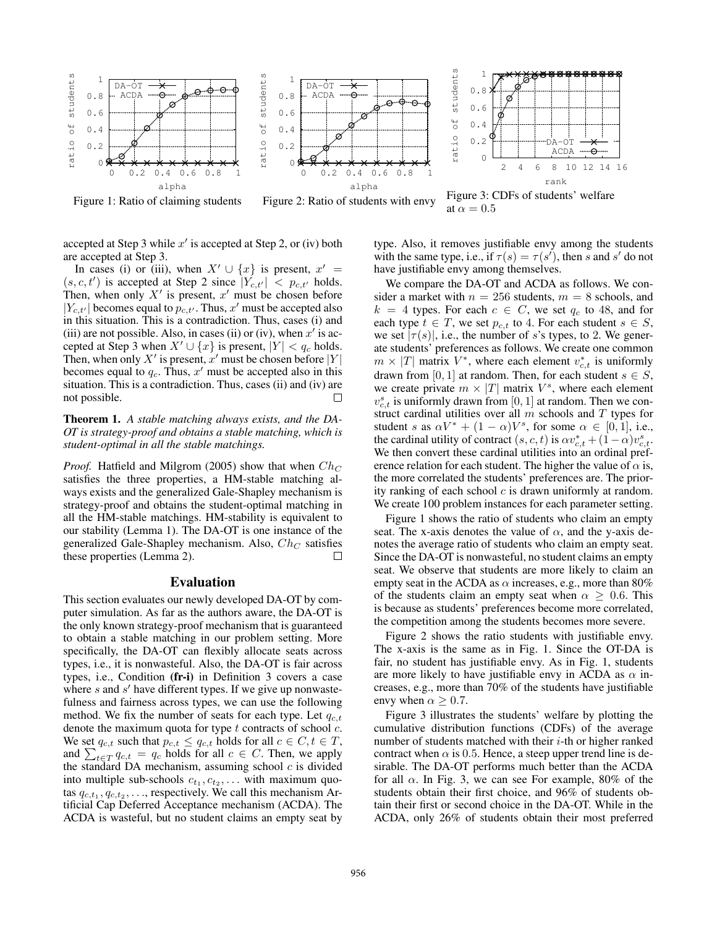

Figure 1: Ratio of claiming students



Figure 2: Ratio of students with envy



Figure 3: CDFs of students' welfare at  $\alpha = 0.5$ 

accepted at Step 3 while  $x'$  is accepted at Step 2, or (iv) both are accepted at Step 3.

In cases (i) or (iii), when  $X' \cup \{x\}$  is present,  $x' =$  $(s, c, t')$  is accepted at Step 2 since  $|Y_{c,t'}| < p_{c,t'}$  holds. Then, when only  $X'$  is present,  $x'$  must be chosen before  $|Y_{c,t'}|$  becomes equal to  $p_{c,t'}$ . Thus, x' must be accepted also in this situation. This is a contradiction. Thus, cases (i) and (iii) are not possible. Also, in cases (ii) or (iv), when  $x'$  is accepted at Step 3 when  $X' \cup \{x\}$  is present,  $|Y| < q_c$  holds. Then, when only X' is present, x' must be chosen before  $|Y|$ becomes equal to  $q_c$ . Thus, x' must be accepted also in this situation. This is a contradiction. Thus, cases (ii) and (iv) are not possible.  $\Box$ 

Theorem 1. *A stable matching always exists, and the DA-OT is strategy-proof and obtains a stable matching, which is student-optimal in all the stable matchings.*

*Proof.* Hatfield and Milgrom (2005) show that when  $Ch_C$ satisfies the three properties, a HM-stable matching always exists and the generalized Gale-Shapley mechanism is strategy-proof and obtains the student-optimal matching in all the HM-stable matchings. HM-stability is equivalent to our stability (Lemma 1). The DA-OT is one instance of the generalized Gale-Shapley mechanism. Also,  $Ch_C$  satisfies these properties (Lemma 2).  $\Box$ 

## Evaluation

This section evaluates our newly developed DA-OT by computer simulation. As far as the authors aware, the DA-OT is the only known strategy-proof mechanism that is guaranteed to obtain a stable matching in our problem setting. More specifically, the DA-OT can flexibly allocate seats across types, i.e., it is nonwasteful. Also, the DA-OT is fair across types, i.e., Condition (fr-i) in Definition 3 covers a case where  $s$  and  $s'$  have different types. If we give up nonwastefulness and fairness across types, we can use the following method. We fix the number of seats for each type. Let  $q_{c,t}$ denote the maximum quota for type  $t$  contracts of school  $c$ . We set  $q_{c,t}$  such that  $p_{c,t} \leq q_{c,t}$  holds for all  $c \in C, t \in T$ , and  $\sum_{t \in T} q_{c,t} = q_c$  holds for all  $c \in C$ . Then, we apply the standard DA mechanism, assuming school  $c$  is divided into multiple sub-schools  $c_{t_1}, c_{t_2}, \ldots$  with maximum quotas  $q_{c,t_1}, q_{c,t_2}, \ldots$ , respectively. We call this mechanism Artificial Cap Deferred Acceptance mechanism (ACDA). The ACDA is wasteful, but no student claims an empty seat by type. Also, it removes justifiable envy among the students with the same type, i.e., if  $\tau(s) = \tau(s')$ , then s and s' do not have justifiable envy among themselves.

We compare the DA-OT and ACDA as follows. We consider a market with  $n = 256$  students,  $m = 8$  schools, and  $k = 4$  types. For each  $c \in C$ , we set  $q_c$  to 48, and for each type  $t \in T$ , we set  $p_{c,t}$  to 4. For each student  $s \in S$ , we set  $|\tau(s)|$ , i.e., the number of s's types, to 2. We generate students' preferences as follows. We create one common  $m \times |T|$  matrix  $V^*$ , where each element  $v_{c,t}^*$  is uniformly drawn from [0, 1] at random. Then, for each student  $s \in S$ , we create private  $m \times |T|$  matrix  $V^s$ , where each element  $v_{c,t}^s$  is uniformly drawn from [0, 1] at random. Then we construct cardinal utilities over all  $m$  schools and  $T$  types for student s as  $\alpha V^* + (1 - \alpha)V^s$ , for some  $\alpha \in [0, 1]$ , i.e., the cardinal utility of contract  $(s, c, t)$  is  $\alpha v_{c,t}^* + (1 - \alpha)v_{c,t}^*$ . We then convert these cardinal utilities into an ordinal preference relation for each student. The higher the value of  $\alpha$  is, the more correlated the students' preferences are. The priority ranking of each school  $c$  is drawn uniformly at random. We create 100 problem instances for each parameter setting.

Figure 1 shows the ratio of students who claim an empty seat. The x-axis denotes the value of  $\alpha$ , and the y-axis denotes the average ratio of students who claim an empty seat. Since the DA-OT is nonwasteful, no student claims an empty seat. We observe that students are more likely to claim an empty seat in the ACDA as  $\alpha$  increases, e.g., more than 80% of the students claim an empty seat when  $\alpha > 0.6$ . This is because as students' preferences become more correlated, the competition among the students becomes more severe.

Figure 2 shows the ratio students with justifiable envy. The x-axis is the same as in Fig. 1. Since the OT-DA is fair, no student has justifiable envy. As in Fig. 1, students are more likely to have justifiable envy in ACDA as  $\alpha$  increases, e.g., more than 70% of the students have justifiable envy when  $\alpha \geq 0.7$ .

Figure 3 illustrates the students' welfare by plotting the cumulative distribution functions (CDFs) of the average number of students matched with their  $i$ -th or higher ranked contract when  $\alpha$  is 0.5. Hence, a steep upper trend line is desirable. The DA-OT performs much better than the ACDA for all  $\alpha$ . In Fig. 3, we can see For example, 80% of the students obtain their first choice, and 96% of students obtain their first or second choice in the DA-OT. While in the ACDA, only 26% of students obtain their most preferred